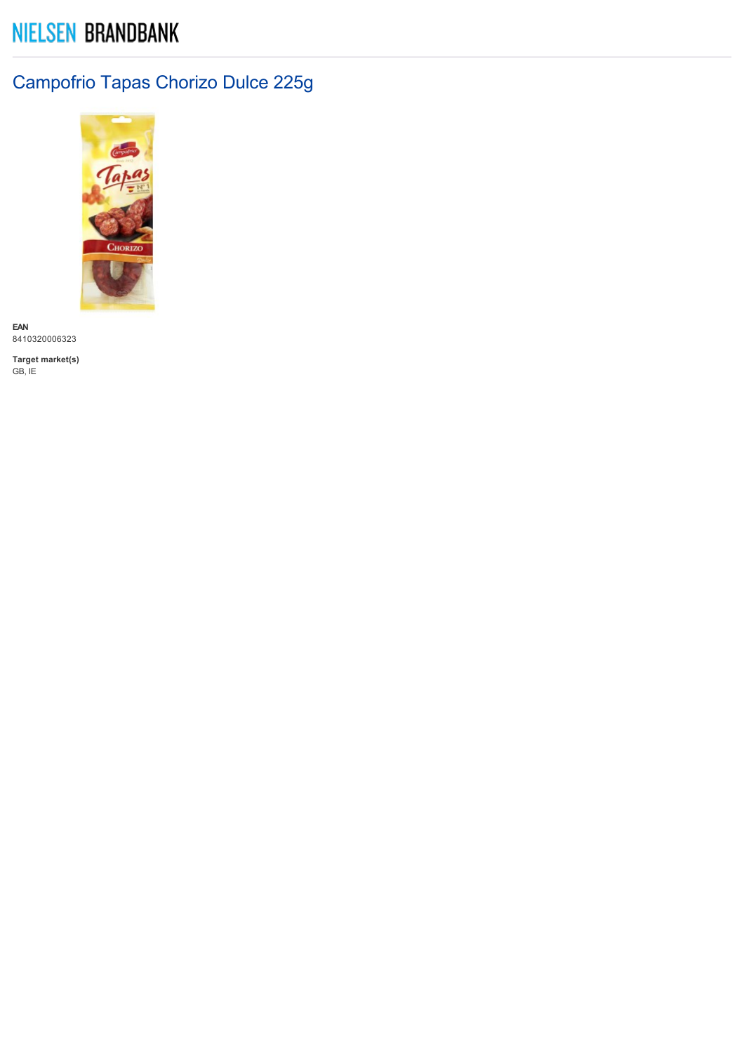# **NIELSEN BRANDBANK**

## Campofrio Tapas Chorizo Dulce 225g



**EAN** 8410320006323

**Target market(s)** GB, IE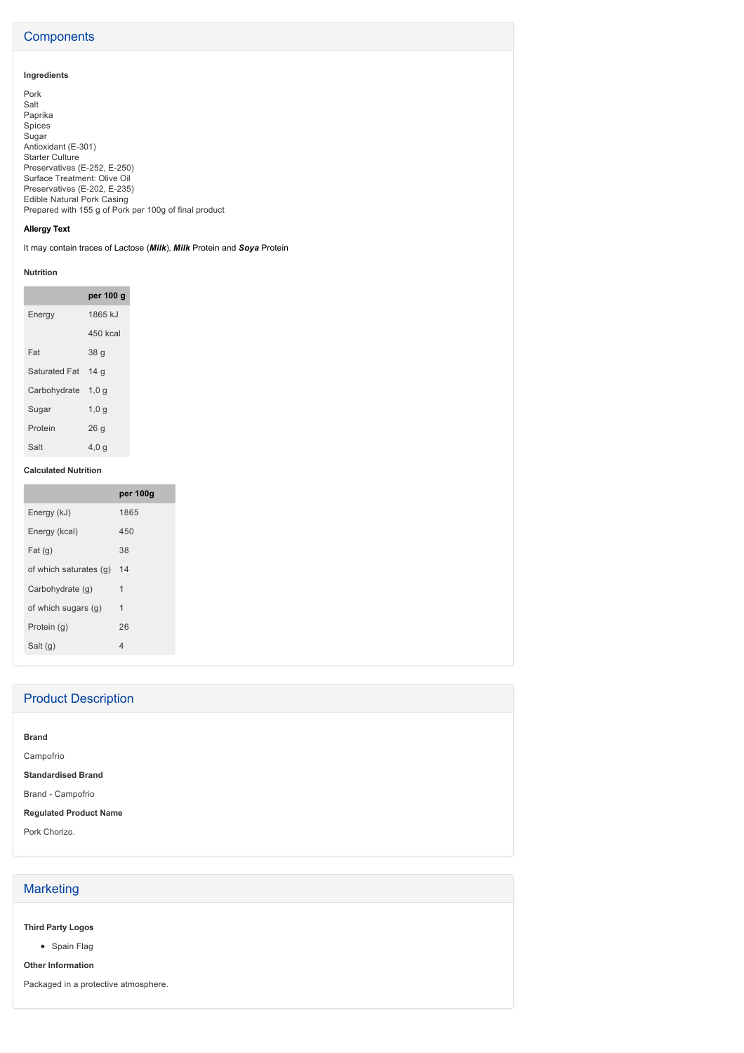## **Components**

## **Ingredients**

Pork Salt Paprika Spices Sugar Antioxidant (E-301) Starter Culture Preservatives (E-252, E-250) Surface Treatment: Olive Oil Preservatives (E-202, E-235) Edible Natural Pork Casing Prepared with 155 g of Pork per 100g of final product

### **Allergy Text**

It may contain traces of Lactose (*Milk*), *Milk* Protein and *Soya* Protein

#### **Nutrition**

|                    | per 100 g       |
|--------------------|-----------------|
| Energy             | 1865 kJ         |
|                    | 450 kcal        |
| Fat                | 38 <sub>g</sub> |
| Saturated Fat 14 g |                 |
| Carbohydrate 1,0 q |                 |
| Sugar              | 1,0q            |
| Protein            | 26q             |
| Salt               | 4,0 g           |

#### **Calculated Nutrition**

|                           | per 100g       |
|---------------------------|----------------|
| Energy (kJ)               | 1865           |
| Energy (kcal)             | 450            |
| Fat(g)                    | 38             |
| of which saturates (g) 14 |                |
| Carbohydrate (g)          | $\mathbf{1}$   |
| of which sugars (g)       | $\mathbf{1}$   |
| Protein (g)               | 26             |
| Salt (g)                  | $\overline{4}$ |

| <b>Product Description</b>    |
|-------------------------------|
|                               |
| <b>Brand</b>                  |
| Campofrio                     |
| <b>Standardised Brand</b>     |
| Brand - Campofrio             |
| <b>Regulated Product Name</b> |
| Pork Chorizo.                 |
|                               |
|                               |

## **Marketing**

**Third Party Logos**

• Spain Flag

**Other Information**

Packaged in a protective atmosphere.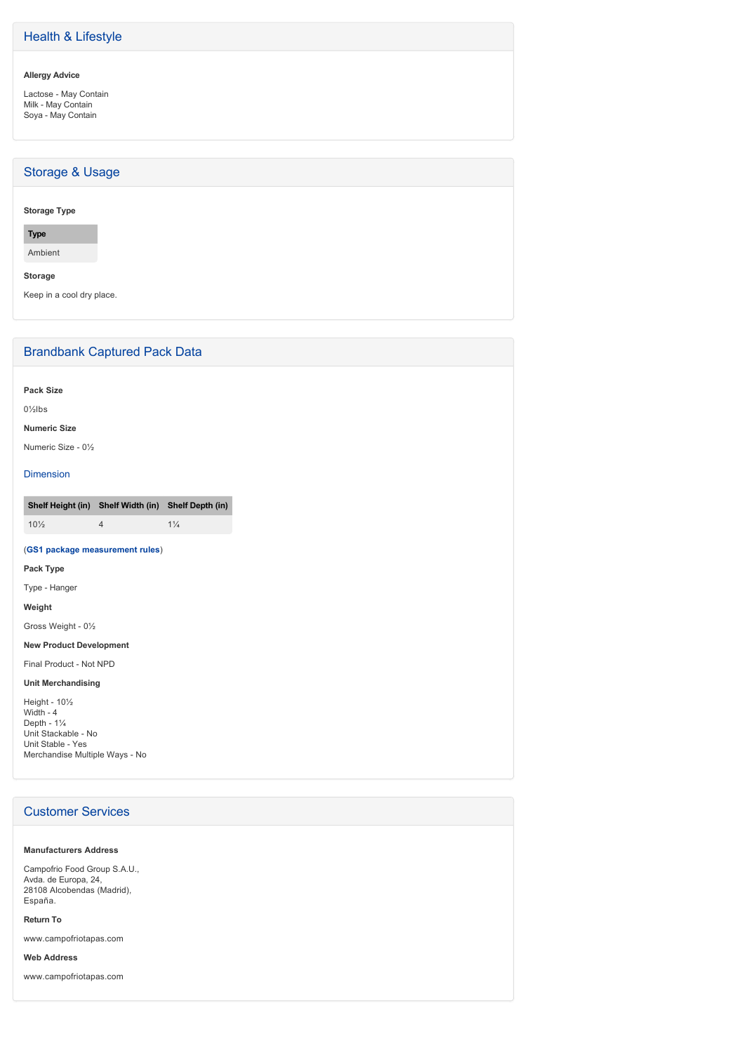## Health & Lifestyle

#### **Allergy Advice**

Lactose - May Contain Milk - May Contain Soya - May Contain

## Storage & Usage

#### **Storage Type**

**Type**

Ambient

**Storage**

Keep in a cool dry place.

## Brandbank Captured Pack Data

**Pack Size**

0½lbs

#### **Numeric Size**

Numeric Size - 0½

#### Dimension

**Shelf Height (in) Shelf Width (in) Shelf Depth (in)**  $10\frac{1}{4}$  1¼

#### (**GS1 package measurement rules**)

**Pack Type**

Type - Hanger

**Weight** Gross Weight - 01/2

## **New Product Development**

Final Product - Not NPD

#### **Unit Merchandising**

Height - 10<sup>1/2</sup> Width  $-4$ Depth -  $1\frac{1}{4}$ Unit Stackable - No Unit Stable - Yes Merchandise Multiple Ways - No

## Customer Services

#### **Manufacturers Address**

Campofrio Food Group S.A.U., Avda. de Europa, 24, 28108 Alcobendas (Madrid), España.

#### **Return To**

www.campofriotapas.com

**Web Address**

www.campofriotapas.com